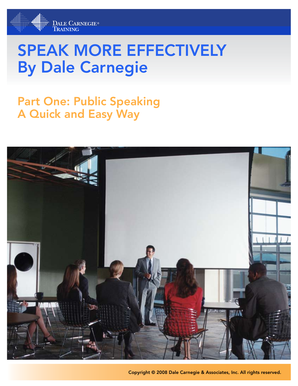

# SPEAK MORE EFFECTIVELY By Dale Carnegie

## Part One: Public Speaking A Quick and Easy Way



Copyright © 2008 Dale Carnegie & Associates, Inc. All rights reserved.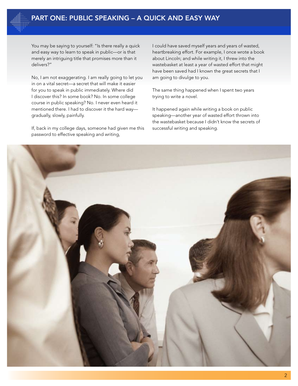

## PART ONE: Public Speaking – A Quick and Easy Way

You may be saying to yourself: "Is there really a quick and easy way to learn to speak in public—or is that merely an intriguing title that promises more than it delivers?"

No, I am not exaggerating. I am really going to let you in on a vital secret—a secret that will make it easier for you to speak in public immediately. Where did I discover this? In some book? No. In some college course in public speaking? No. I never even heard it mentioned there. I had to discover it the hard way gradually, slowly, painfully.

If, back in my college days, someone had given me this password to effective speaking and writing,

I could have saved myself years and years of wasted, heartbreaking effort. For example, I once wrote a book about Lincoln; and while writing it, I threw into the wastebasket at least a year of wasted effort that might have been saved had I known the great secrets that I am going to divulge to you.

The same thing happened when I spent two years trying to write a novel.

It happened again while writing a book on public speaking—another year of wasted effort thrown into the wastebasket because I didn't know the secrets of successful writing and speaking.

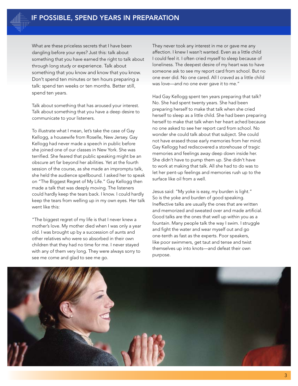What are these priceless secrets that I have been dangling before your eyes? Just this: talk about something that you have earned the right to talk about through long study or experience. Talk about something that you know and know that you know. Don't spend ten minutes or ten hours preparing a talk: spend ten weeks or ten months. Better still, spend ten years.

Talk about something that has aroused your interest. Talk about something that you have a deep desire to communicate to your listeners.

To illustrate what I mean, let's take the case of Gay Kellogg, a housewife from Roselle, New Jersey. Gay Kellogg had never made a speech in public before she joined one of our classes in New York. She was terrified. She feared that public speaking might be an obscure art far beyond her abilities. Yet at the fourth session of the course, as she made an impromptu talk, she held the audience spellbound. I asked her to speak on "The Biggest Regret of My Life." Gay Kellogg then made a talk that was deeply moving. The listeners could hardly keep the tears back. I know. I could hardly keep the tears from welling up in my own eyes. Her talk went like this:

"The biggest regret of my life is that I never knew a mother's love. My mother died when I was only a year old. I was brought up by a succession of aunts and other relatives who were so absorbed in their own children that they had no time for me. I never stayed with any of them very long. They were always sorry to see me come and glad to see me go.

They never took any interest in me or gave me any affection. I knew I wasn't wanted. Even as a little child I could feel it. I often cried myself to sleep because of loneliness. The deepest desire of my heart was to have someone ask to see my report card from school. But no one ever did. No one cared. All I craved as a little child was love—and no one ever gave it to me."

Had Gay Kellogg spent ten years preparing that talk? No. She had spent twenty years. She had been preparing herself to make that talk when she cried herself to sleep as a little child. She had been preparing herself to make that talk when her heart ached because no one asked to see her report card from school. No wonder she could talk about that subject. She could not have erased those early memories from her mind. Gay Kellogg had rediscovered a storehouse of tragic memories and feelings away deep down inside her. She didn't have to pump them up. She didn't have to work at making that talk. All she had to do was to let her pent-up feelings and memories rush up to the surface like oil from a well.

Jesus said: "My yoke is easy, my burden is light." So is the yoke and burden of good speaking. Ineffective talks are usually the ones that are written and memorized and sweated over and made artificial. Good talks are the ones that well up within you as a fountain. Many people talk the way I swim. I struggle and fight the water and wear myself out and go one-tenth as fast as the experts. Poor speakers, like poor swimmers, get taut and tense and twist themselves up into knots—and defeat their own purpose.

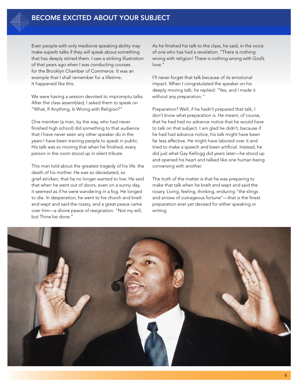Even people with only mediocre speaking ability may make superb talks if they will speak about something that has deeply stirred them. I saw a striking illustration of that years ago when I was conducting courses for the Brooklyn Chamber of Commerce. It was an example that I shall remember for a lifetime. It happened like this:

We were having a session devoted to impromptu talks. After the class assembled, I asked them to speak on "What, If Anything, Is Wrong with Religion?"

One member (a man, by the way, who had never finished high school) did something to that audience that I have never seen any other speaker do in the years I have been training people to speak in public. His talk was so moving that when he finished, every person in the room stood up in silent tribute.

This man told about the greatest tragedy of his life: the death of his mother. He was so devastated, so grief-stricken, that he no longer wanted to live. He said that when he went out of doors, even on a sunny day, it seemed as if he were wandering in a fog. He longed to die. In desperation, he went to his church and knelt and wept and said the rosary, and a great peace came over him—a divine peace of resignation: "Not my will, but Thine be done."

As he finished his talk to the class, he said, in the voice of one who has had a revelation: "There is nothing wrong with religion! There is nothing wrong with God's love."

I'll never forget that talk because of its emotional impact. When I congratulated the speaker on his deeply moving talk, he replied: "Yes, and I made it without any preparation."

Preparation? Well, if he hadn't prepared that talk, I don't know what preparation is. He meant, of course, that he had had no advance notice that he would have to talk on that subject. I am glad he didn't, because if he had had advance notice, his talk might have been far less effective. He might have labored over it and tried to make a speech and been artificial. Instead, he did just what Gay Kellogg did years later—he stood up and opened his heart and talked like one human being conversing with another.

The truth of the matter is that he was preparing to make that talk when he knelt and wept and said the rosary. Living, feeling, thinking, enduring "the slings and arrows of outrageous fortune"—that is the finest preparation ever yet devised for either speaking or writing.

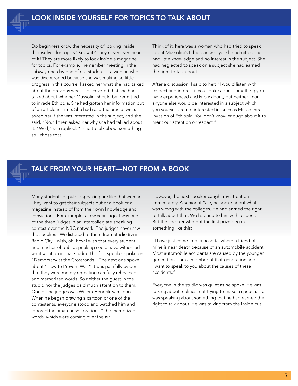

Do beginners know the necessity of looking inside themselves for topics? Know it? They never even heard of it! They are more likely to look inside a magazine for topics. For example, I remember meeting in the subway one day one of our students—a woman who was discouraged because she was making so little progress in this course. I asked her what she had talked about the previous week. I discovered that she had talked about whether Mussolini should be permitted to invade Ethiopia. She had gotten her information out of an article in Time. She had read the article twice. I asked her if she was interested in the subject, and she said, "No." I then asked her why she had talked about it. "Well," she replied. "I had to talk about something so I chose that."

Think of it: here was a woman who had tried to speak about Mussolini's Ethiopian war, yet she admitted she had little knowledge and no interest in the subject. She had neglected to speak on a subject she had earned the right to talk about.

After a discussion, I said to her: "I would listen with respect and interest if you spoke about something you have experienced and know about, but neither I nor anyone else would be interested in a subject which you yourself are not interested in, such as Mussolini's invasion of Ethiopia. You don't know enough about it to merit our attention or respect."



## Talk from Your Heart—Not from a Book

Many students of public speaking are like that woman. They want to get their subjects out of a book or a magazine instead of from their own knowledge and convictions. For example, a few years ago, I was one of the three judges in an intercollegiate speaking contest over the NBC network. The judges never saw the speakers. We listened to them from Studio 8G in Radio City. I wish, oh, how I wish that every student and teacher of public speaking could have witnessed what went on in that studio. The first speaker spoke on "Democracy at the Crossroads." The next one spoke about "How to Prevent War." It was painfully evident that they were merely repeating carefully rehearsed and memorized words. So neither the guest in the studio nor the judges paid much attention to them. One of the judges was Willem Hendrik Van Loon. When he began drawing a cartoon of one of the contestants, everyone stood and watched him and ignored the amateurish "orations," the memorized words, which were coming over the air.

However, the next speaker caught my attention immediately. A senior at Yale, he spoke about what was wrong with the colleges. He had earned the right to talk about that. We listened to him with respect. But the speaker who got the first prize began something like this:

"I have just come from a hospital where a friend of mine is near death because of an automobile accident. Most automobile accidents are caused by the younger generation. I am a member of that generation and I want to speak to you about the causes of these accidents."

Everyone in the studio was quiet as he spoke. He was talking about realities, not trying to make a speech. He was speaking about something that he had earned the right to talk about. He was talking from the inside out.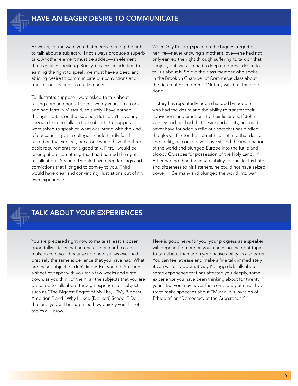However, let me warn you that merely earning the right to talk about a subject will not always produce a superb talk. Another element must be added—an element that is vital in speaking. Briefly, it is this: in addition to earning the right to speak, we must have a deep and abiding desire to communicate our convictions and transfer our feelings to our listeners.

To illustrate: suppose I were asked to talk about raising corn and hogs. I spent twenty years on a corn and hog farm in Missouri, so surely I have earned the right to talk on that subject. But I don't have any special desire to talk on that subject. But suppose I were asked to speak on what was wrong with the kind of education I got in college. I could hardly fail if I talked on that subject, because I would have the three basic requirements for a good talk. First, I would be talking about something that I had earned the right to talk about. Second, I would have deep feelings and convictions that I longed to convey to you. Third, I would have clear and convincing illustrations out of my own experience.

When Gay Kellogg spoke on the biggest regret of her life—never knowing a mother's love—she had not only earned the right through suffering to talk on that subject, but she also had a deep emotional desire to tell us about it. So did the class member who spoke in the Brooklyn Chamber of Commerce class about the death of his mother—"Not my will, but Thine be done."

History has repeatedly been changed by people who had the desire and the ability to transfer their convictions and emotions to their listeners. If John Wesley had not had that desire and ability, he could never have founded a religious sect that has girdled the globe. If Peter the Hermit had not had that desire and ability, he could never have stirred the imagination of the world and plunged Europe into the futile and bloody Crusades for possession of the Holy Land. If Hitler had not had the innate ability to transfer his hate and bitterness to his listeners, he could not have seized power in Germany and plunged the world into war.



## Talk about Your Experiences

You are prepared right now to make at least a dozen good talks—talks that no one else on earth could make except you, because no one else has ever had precisely the same experience that you have had. What are these subjects? I don't know. But you do. So carry a sheet of paper with you for a few weeks and write down, as you think of them, all the subjects that you are prepared to talk about through experience—subjects such as "The Biggest Regret of My Life," "My Biggest Ambition," and "Why I Liked (Disliked) School." Do that and you will be surprised how quickly your list of topics will grow.

Here is good news for you: your progress as a speaker will depend far more on your choosing the right topic to talk about than upon your native ability as a speaker. You can feel at ease and make a fine talk immediately if you will only do what Gay Kellogg did: talk about some experience that has affected you deeply, some experience you have been thinking about for twenty years. But you may never feel completely at ease if you try to make speeches about "Mussolini's Invasion of Ethiopia" or "Democracy at the Crossroads."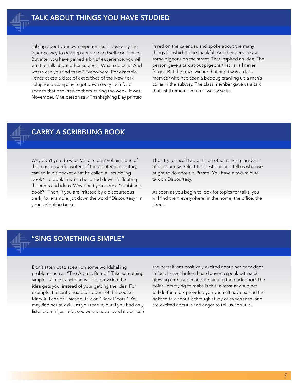

Talking about your own experiences is obviously the quickest way to develop courage and self-confidence. But after you have gained a bit of experience, you will want to talk about other subjects. What subjects? And where can you find them? Everywhere. For example, I once asked a class of executives of the New York Telephone Company to jot down every idea for a speech that occurred to them during the week. It was November. One person saw Thanksgiving Day printed in red on the calendar, and spoke about the many things for which to be thankful. Another person saw some pigeons on the street. That inspired an idea. The person gave a talk about pigeons that I shall never forget. But the prize winner that night was a class member who had seen a bedbug crawling up a man's collar in the subway. The class member gave us a talk that I still remember after twenty years.



## Carry a Scribbling Book

Why don't you do what Voltaire did? Voltaire, one of the most powerful writers of the eighteenth century, carried in his pocket what he called a "scribbling book"—a book in which he jotted down his fleeting thoughts and ideas. Why don't you carry a "scribbling book?" Then, if you are irritated by a discourteous clerk, for example, jot down the word "Discourtesy" in your scribbling book.

Then try to recall two or three other striking incidents of discourtesy. Select the best one and tell us what we ought to do about it. Presto! You have a two-minute talk on Discourtesy.

As soon as you begin to look for topics for talks, you will find them everywhere: in the home, the office, the street.



### "Sing Something Simple"

Don't attempt to speak on some worldshaking problem such as "The Atomic Bomb." Take something simple—almost anything will do, provided the idea gets you, instead of your getting the idea. For example, I recently heard a student of this course, Mary A. Leer, of Chicago, talk on "Back Doors." You may find her talk dull as you read it; but if you had only listened to it, as I did, you would have loved it because

she herself was positively excited about her back door. In fact, I never before heard anyone speak with such glowing enthusiasm about painting the back door! The point I am trying to make is this: almost any subject will do for a talk provided you yourself have earned the right to talk about it through study or experience, and are excited about it and eager to tell us about it.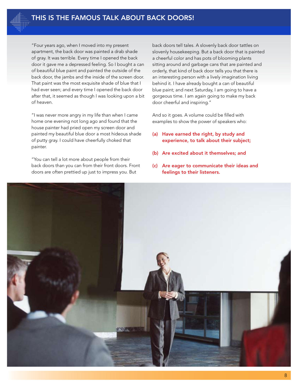"Four years ago, when I moved into my present apartment, the back door was painted a drab shade of gray. It was terrible. Every time I opened the back door it gave me a depressed feeling. So I bought a can of beautiful blue paint and painted the outside of the back door, the jambs and the inside of the screen door. That paint was the most exquisite shade of blue that I had ever seen; and every time I opened the back door after that, it seemed as though I was looking upon a bit of heaven.

"I was never more angry in my life than when I came home one evening not long ago and found that the house painter had pried open my screen door and painted my beautiful blue door a most hideous shade of putty gray. I could have cheerfully choked that painter.

"You can tell a lot more about people from their back doors than you can from their front doors. Front doors are often prettied up just to impress you. But

back doors tell tales. A slovenly back door tattles on slovenly housekeeping. But a back door that is painted a cheerful color and has pots of blooming plants sitting around and garbage cans that are painted and orderly, that kind of back door tells you that there is an interesting person with a lively imagination living behind it. I have already bought a can of beautiful blue paint; and next Saturday, I am going to have a gorgeous time. I am again going to make my back door cheerful and inspiring."

And so it goes. A volume could be filled with examples to show the power of speakers who:

- (a) Have earned the right, by study and experience, to talk about their subject;
- (b) Are excited about it themselves; and
- (c) Are eager to communicate their ideas and feelings to their listeners.

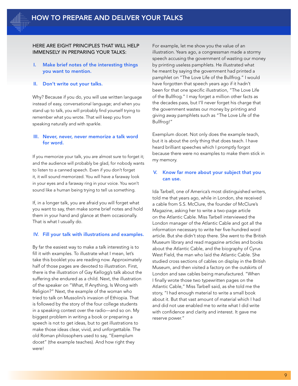Here are eight principles that will help immensely in preparing your talks:

- I. Make brief notes of the interesting things you want to mention.
- II. Don't write out your talks.

Why? Because if you do, you will use written language instead of easy, conversational language; and when you stand up to talk, you will probably find yourself trying to remember what you wrote. That will keep you from speaking naturally and with sparkle.

#### III. Never, never, never memorize a talk word for word.

If you memorize your talk, you are almost sure to forget it; and the audience will probably be glad, for nobody wants to listen to a canned speech. Even if you don't forget it, it will sound memorized. You will have a faraway look in your eyes and a faraway ring in your voice. You won't sound like a human being trying to tell us something.

If, in a longer talk, you are afraid you will forget what you want to say, then make some brief notes and hold them in your hand and glance at them occasionally. That is what I usually do.

#### IV. Fill your talk with illustrations and examples.

By far the easiest way to make a talk interesting is to fill it with examples. To illustrate what I mean, let's take this booklet you are reading now. Approximately half of those pages are devoted to illustration. First, there is the illustration of Gay Kellogg's talk about the suffering she endured as a child. Next, the illustration of the speaker on "What, If Anything, Is Wrong with Religion?" Next, the example of the woman who tried to talk on Mussolini's invasion of Ethiopia. That is followed by the story of the four college students in a speaking contest over the radio—and so on. My biggest problem in writing a book or preparing a speech is not to get ideas, but to get illustrations to make those ideas clear, vivid, and unforgettable. The old Roman philosophers used to say, "Exemplum docet" (the example teaches). And how right they were!

For example, let me show you the value of an illustration. Years ago, a congressman made a stormy speech accusing the government of wasting our money by printing useless pamphlets. He illustrated what he meant by saying the government had printed a pamphlet on "The Love Life of the Bullfrog." I would have forgotten that speech years ago if it hadn't been for that one specific illustration, "The Love Life of the Bullfrog." I may forget a million other facts as the decades pass, but I'll never forget his charge that the government wastes our money by printing and giving away pamphlets such as "The Love Life of the Bullfrog!"

Exemplum docet. Not only does the example teach, but it is about the only thing that does teach. I have heard brilliant speeches which I promptly forgot because there were no examples to make them stick in my memory.

#### V. Know far more about your subject that you can use.

Ida Tarbell, one of America's most distinguished writers, told me that years ago, while in London, she received a cable from S.S. McClure, the founder of McClure's Magazine, asking her to write a two-page article on the Atlantic Cable. Miss Tarbell interviewed the London manager of the Atlantic Cable and got all the information necessary to write her five-hundred word article. But she didn't stop there. She went to the British Museum library and read magazine articles and books about the Atlantic Cable, and the biography of Cyrus West Field, the man who laid the Atlantic Cable. She studied cross sections of cables on display in the British Museum, and then visited a factory on the outskirts of London and saw cables being manufactured. "When I finally wrote those two typewritten pages on the Atlantic Cable," Miss Tarbell said, as she told me the story, "I had enough material to write a small book about it. But that vast amount of material which I had and did not use enabled me to write what I did write with confidence and clarity and interest. It gave me reserve power."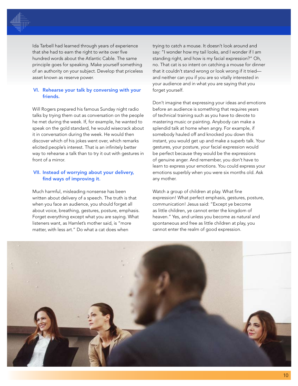

Ida Tarbell had learned through years of experience that she had to earn the right to write over five hundred words about the Atlantic Cable. The same principle goes for speaking. Make yourself something of an authority on your subject. Develop that priceless asset known as reserve power.

#### VI. Rehearse your talk by conversing with your friends.

Will Rogers prepared his famous Sunday night radio talks by trying them out as conversation on the people he met during the week. If, for example, he wanted to speak on the gold standard, he would wisecrack about it in conversation during the week. He would then discover which of his jokes went over, which remarks elicited people's interest. That is an infinitely better way to rehearse a talk than to try it out with gestures in front of a mirror.

#### VII. Instead of worrying about your delivery, find ways of improving it.

Much harmful, misleading nonsense has been written about delivery of a speech. The truth is that when you face an audience, you should forget all about voice, breathing, gestures, posture, emphasis. Forget everything except what you are saying. What listeners want, as Hamlet's mother said, is "more matter, with less art." Do what a cat does when

trying to catch a mouse. It doesn't look around and say: "I wonder how my tail looks, and I wonder if I am standing right, and how is my facial expression?" Oh, no. That cat is so intent on catching a mouse for dinner that it couldn't stand wrong or look wrong if it tried and neither can you if you are so vitally interested in your audience and in what you are saying that you forget yourself.

Don't imagine that expressing your ideas and emotions before an audience is something that requires years of technical training such as you have to devote to mastering music or painting. Anybody can make a splendid talk at home when angry. For example, if somebody hauled off and knocked you down this instant, you would get up and make a superb talk. Your gestures, your posture, your facial expression would be perfect because they would be the expressions of genuine anger. And remember, you don't have to learn to express your emotions. You could express your emotions superbly when you were six months old. Ask any mother.

Watch a group of children at play. What fine expression! What perfect emphasis, gestures, posture, communication! Jesus said: "Except ye become as little children, ye cannot enter the kingdom of heaven." Yes, and unless you become as natural and spontaneous and free as little children at play, you cannot enter the realm of good expression.

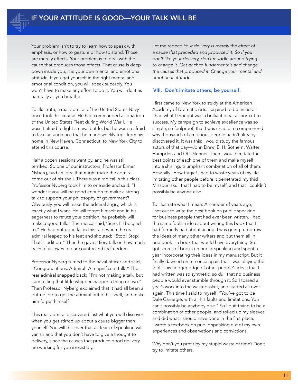Your problem isn't to try to learn how to speak with emphasis, or how to gesture or how to stand. Those are merely effects. Your problem is to deal with the cause that produces those effects. That cause is deep down inside you; it is your own mental and emotional attitude. If you get yourself in the right mental and emotional condition, you will speak superbly. You won't have to make any effort to do it. You will do it as naturally as you breathe.

To illustrate, a rear admiral of the United States Navy once took this course. He had commanded a squadron of the United States Fleet during World War I. He wasn't afraid to fight a naval battle, but he was so afraid to face an audience that he made weekly trips from his home in New Haven, Connecticut, to New York City to attend this course.

Half a dozen sessions went by, and he was still terrified. So one of our instructors, Professor Elmer Nyberg, had an idea that might make the admiral come out of his shell. There was a radical in this class. Professor Nyberg took him to one side and said: "I wonder if you will be good enough to make a strong talk to support your philosophy of government? Obviously, you will make the admiral angry, which is exactly what I want. He will forget himself and in his eagerness to refute your position, he probably will make a good talk." The radical said,"Sure, I'll be glad to." He had not gone far in this talk, when the rear admiral leaped to his feet and shouted: "Stop! Stop! That's sedition!" Then he gave a fiery talk on how much each of us owes to our country and its freedom.

Professor Nyberg turned to the naval officer and said, "Congratulations, Admiral! A magnificent talk!" The rear admiral snapped back: "I'm not making a talk, but I am telling that little whippersnapper a thing or two." Then Professor Nyberg explained that it had all been a put-up job to get the admiral out of his shell, and make him forget himself.

This rear admiral discovered just what you will discover when you get stirred up about a cause bigger than yourself. You will discover that all fears of speaking will vanish and that you don't have to give a thought to delivery, since the causes that produce good delivery are working for you irresistibly.

Let me repeat: *Your delivery is merely the effect of a cause that preceded and produced it. So if you don't like your delivery, don't muddle around trying to change it. Get back to fundamentals and change the causes that produced it. Change your mental and emotional attitude.*

#### VIII. Don't imitate others; be yourself.

I first came to New York to study at the American Academy of Dramatic Arts. I aspired to be an actor. I had what I thought was a brilliant idea, a shortcut to success. My campaign to achieve excellence was so simple, so foolproof, that I was unable to comprehend why thousands of ambitious people hadn't already discovered it. It was this: I would study the famous actors of that day—John Drew, E. H. Sothern, Walter Hampden and Otis Skinner. Then I would imitate the best points of each one of them and make myself into a shining, triumphant combination of all of them. How silly! How tragic! I had to waste years of my life imitating other people before it penetrated my thick Missouri skull that I had to be myself, and that I couldn't possibly be anyone else.

To illustrate what I mean: A number of years ago, I set out to write the best book on public speaking for business people that had ever been written. I had the same foolish idea about writing this book that I had formerly had about acting: I was going to borrow the ideas of many other writers and put them all in one book—a book that would have everything. So I got scores of books on public speaking and spent a year incorporating their ideas in my manuscript. But it finally dawned on me once again that I was playing the fool. This hodgepodge of other people's ideas that I had written was so synthetic, so dull that no business people would ever stumble through it. So I tossed a year's work into the wastebasket, and started all over again. This time I said to myself: "You've got to be Dale Carnegie, with all his faults and limitations. You can't possibly be anybody else." So I quit trying to be a combination of other people, and rolled up my sleeves and did what I should have done in the first place: I wrote a textbook on public speaking out of my own experiences and observations and convictions.

Why don't you profit by my stupid waste of time? Don't try to imitate others.